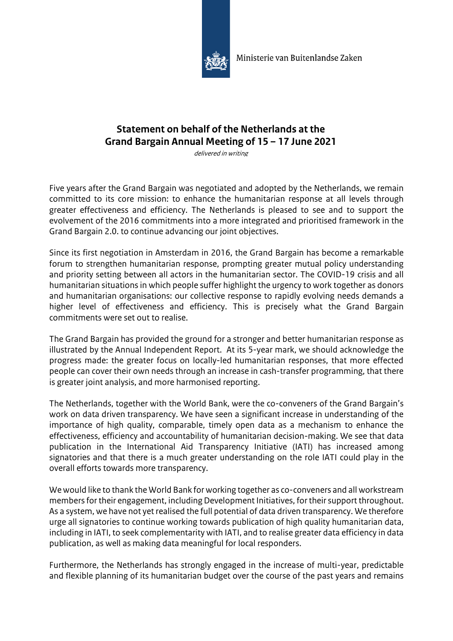

## **Statement on behalf of the Netherlands at the Grand Bargain Annual Meeting of 15 – 17 June 2021**

delivered in writing

Five years after the Grand Bargain was negotiated and adopted by the Netherlands, we remain committed to its core mission: to enhance the humanitarian response at all levels through greater effectiveness and efficiency. The Netherlands is pleased to see and to support the evolvement of the 2016 commitments into a more integrated and prioritised framework in the Grand Bargain 2.0. to continue advancing our joint objectives.

Since its first negotiation in Amsterdam in 2016, the Grand Bargain has become a remarkable forum to strengthen humanitarian response, prompting greater mutual policy understanding and priority setting between all actors in the humanitarian sector. The COVID-19 crisis and all humanitarian situations in which people suffer highlight the urgency to work together as donors and humanitarian organisations: our collective response to rapidly evolving needs demands a higher level of effectiveness and efficiency. This is precisely what the Grand Bargain commitments were set out to realise.

The Grand Bargain has provided the ground for a stronger and better humanitarian response as illustrated by the Annual Independent Report. At its 5-year mark, we should acknowledge the progress made: the greater focus on locally-led humanitarian responses, that more effected people can cover their own needs through an increase in cash-transfer programming, that there is greater joint analysis, and more harmonised reporting.

The Netherlands, together with the World Bank, were the co-conveners of the Grand Bargain's work on data driven transparency. We have seen a significant increase in understanding of the importance of high quality, comparable, timely open data as a mechanism to enhance the effectiveness, efficiency and accountability of humanitarian decision-making. We see that data publication in the International Aid Transparency Initiative (IATI) has increased among signatories and that there is a much greater understanding on the role IATI could play in the overall efforts towards more transparency.

We would like to thank the World Bank for working together as co-conveners and all workstream members for their engagement, including Development Initiatives, for their support throughout. As a system, we have not yet realised the full potential of data driven transparency. We therefore urge all signatories to continue working towards publication of high quality humanitarian data, including in IATI, to seek complementarity with IATI, and to realise greater data efficiency in data publication, as well as making data meaningful for local responders.

Furthermore, the Netherlands has strongly engaged in the increase of multi-year, predictable and flexible planning of its humanitarian budget over the course of the past years and remains